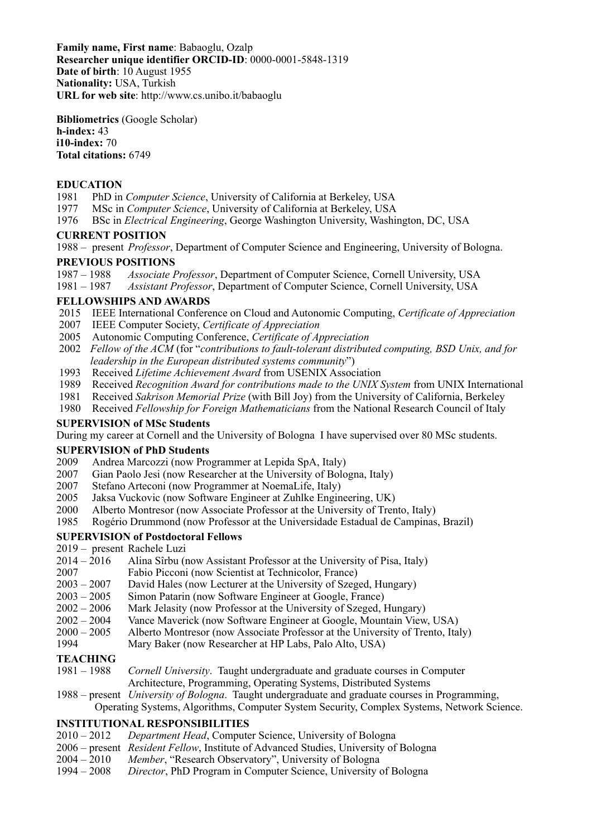**Family name, First name**: Babaoglu, Ozalp **Researcher unique identifier ORCID-ID**: 0000-0001-5848-1319 **Date of birth**: 10 August 1955 **Nationality:** USA, Turkish **URL for web site**: http://www.cs.unibo.it/babaoglu

**Bibliometrics** (Google Scholar) **h-index:** 43 **i10-index:** 70 **Total citations:** 6749

### **EDUCATION**

- 1981 PhD in *Computer Science*, University of California at Berkeley, USA
- 1977 MSc in *Computer Science*, University of California at Berkeley, USA
- 1976 BSc in *Electrical Engineering*, George Washington University, Washington, DC, USA

#### **CURRENT POSITION**

1988 – present *Professor*, Department of Computer Science and Engineering, University of Bologna.

#### **PREVIOUS POSITIONS**

1987 – 1988 *Associate Professor*, Department of Computer Science, Cornell University, USA

1981 – 1987 *Assistant Professor*, Department of Computer Science, Cornell University, USA

#### **FELLOWSHIPS AND AWARDS**

- 2015 IEEE International Conference on Cloud and Autonomic Computing, *Certificate of Appreciation*
- 2007 IEEE Computer Society, *Certificate of Appreciation*
- 2005 Autonomic Computing Conference, *Certificate of Appreciation*
- 2002 *Fellow of the ACM* (for "*contributions to fault-tolerant distributed computing, BSD Unix, and for leadership in the European distributed systems community*")
- 1993 Received *Lifetime Achievement Award* from USENIX Association
- 1989 Received *Recognition Award for contributions made to the UNIX System* from UNIX International
- 1981 Received *Sakrison Memorial Prize* (with Bill Joy) from the University of California, Berkeley
- 1980 Received *Fellowship for Foreign Mathematicians* from the National Research Council of Italy

### **SUPERVISION of MSc Students**

During my career at Cornell and the University of Bologna I have supervised over 80 MSc students.

#### **SUPERVISION of PhD Students**

- 2009 Andrea Marcozzi (now Programmer at Lepida SpA, Italy)
- 2007 Gian Paolo Jesi (now Researcher at the University of Bologna, Italy)
- 2007 Stefano Arteconi (now Programmer at NoemaLife, Italy)
- 2005 Jaksa Vuckovic (now Software Engineer at Zuhlke Engineering, UK)
- 2000 Alberto Montresor (now Associate Professor at the University of Trento, Italy)
- 1985 Rogério Drummond (now Professor at the Universidade Estadual de Campinas, Brazil)

## **SUPERVISION of Postdoctoral Fellows**

- 2019 present Rachele Luzi
- 2014 2016 Alina Sîrbu (now Assistant Professor at the University of Pisa, Italy)
- 2007 Fabio Picconi (now Scientist at Technicolor, France)
- 2003 2007 David Hales (now Lecturer at the University of Szeged, Hungary)
- 2003 2005 Simon Patarin (now Software Engineer at Google, France)
- 2002 2006 Mark Jelasity (now Professor at the University of Szeged, Hungary)
- 2002 2004 Vance Maverick (now Software Engineer at Google, Mountain View, USA)
- 2000 2005 Alberto Montresor (now Associate Professor at the University of Trento, Italy)
- 1994 Mary Baker (now Researcher at HP Labs, Palo Alto, USA)

## **TEACHING**

- 1981 1988 *Cornell University*. Taught undergraduate and graduate courses in Computer Architecture, Programming, Operating Systems, Distributed Systems
- 1988 present *University of Bologna*. Taught undergraduate and graduate courses in Programming, Operating Systems, Algorithms, Computer System Security, Complex Systems, Network Science.

## **INSTITUTIONAL RESPONSIBILITIES**

- 2010 2012 *Department Head*, Computer Science, University of Bologna
- 2006 present *Resident Fellow*, Institute of Advanced Studies, University of Bologna
- 2004 2010 *Member*, "Research Observatory", University of Bologna
- 1994 2008 *Director*, PhD Program in Computer Science, University of Bologna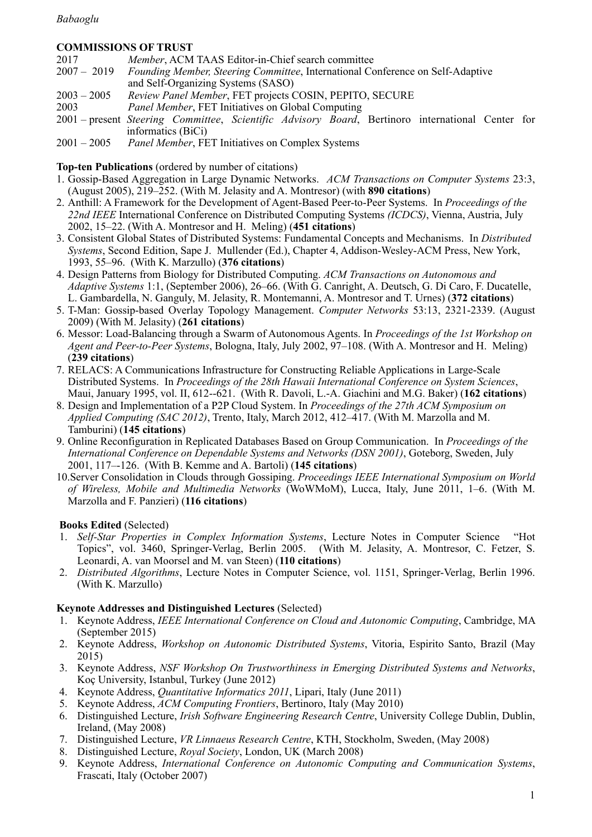## *Babaoglu*

## **COMMISSIONS OF TRUST**

| 2017          | <i>Member</i> , ACM TAAS Editor-in-Chief search committee                                        |
|---------------|--------------------------------------------------------------------------------------------------|
| $2007 - 2019$ | <i>Founding Member, Steering Committee, International Conference on Self-Adaptive</i>            |
|               | and Self-Organizing Systems (SASO)                                                               |
| $2003 - 2005$ | Review Panel Member, FET projects COSIN, PEPITO, SECURE                                          |
| 2003          | <i>Panel Member</i> , FET Initiatives on Global Computing                                        |
|               | 2001 – present Steering Committee, Scientific Advisory Board, Bertinoro international Center for |
|               | informatics (BiCi)                                                                               |
| $2001 - 2005$ | <i>Panel Member</i> , FET Initiatives on Complex Systems                                         |

**Top-ten Publications** (ordered by number of citations)

- 1. Gossip-Based Aggregation in Large Dynamic Networks. *ACM Transactions on Computer Systems* 23:3, (August 2005), 219–252. (With M. Jelasity and A. Montresor) (with **890 citations**)
- 2. Anthill: A Framework for the Development of Agent-Based Peer-to-Peer Systems. In *Proceedings of the 22nd IEEE* International Conference on Distributed Computing Systems *(ICDCS)*, Vienna, Austria, July 2002, 15–22. (With A. Montresor and H. Meling) (**451 citations**)
- 3. Consistent Global States of Distributed Systems: Fundamental Concepts and Mechanisms. In *Distributed Systems*, Second Edition, Sape J. Mullender (Ed.), Chapter 4, Addison-Wesley-ACM Press, New York, 1993, 55–96. (With K. Marzullo) (**376 citations**)
- 4. Design Patterns from Biology for Distributed Computing. *ACM Transactions on Autonomous and Adaptive Systems* 1:1, (September 2006), 26–66. (With G. Canright, A. Deutsch, G. Di Caro, F. Ducatelle, L. Gambardella, N. Ganguly, M. Jelasity, R. Montemanni, A. Montresor and T. Urnes) (**372 citations**)
- 5. T-Man: Gossip-based Overlay Topology Management. *Computer Networks* 53:13, 2321-2339. (August 2009) (With M. Jelasity) (**261 citations**)
- 6. Messor: Load-Balancing through a Swarm of Autonomous Agents. In *Proceedings of the 1st Workshop on Agent and Peer-to-Peer Systems*, Bologna, Italy, July 2002, 97–108. (With A. Montresor and H. Meling) (**239 citations**)
- 7. RELACS: A Communications Infrastructure for Constructing Reliable Applications in Large-Scale Distributed Systems. In *Proceedings of the 28th Hawaii International Conference on System Sciences*, Maui, January 1995, vol. II, 612--621. (With R. Davoli, L.-A. Giachini and M.G. Baker) (**162 citations**)
- 8. Design and Implementation of a P2P Cloud System. In *Proceedings of the 27th ACM Symposium on Applied Computing (SAC 2012)*, Trento, Italy, March 2012, 412–417. (With M. Marzolla and M. Tamburini) (**145 citations**)
- 9. Online Reconfiguration in Replicated Databases Based on Group Communication. In *Proceedings of the International Conference on Dependable Systems and Networks (DSN 2001)*, Goteborg, Sweden, July 2001, 117–-126. (With B. Kemme and A. Bartoli) (**145 citations**)
- 10.Server Consolidation in Clouds through Gossiping. *Proceedings IEEE International Symposium on World of Wireless, Mobile and Multimedia Networks* (WoWMoM), Lucca, Italy, June 2011, 1–6. (With M. Marzolla and F. Panzieri) (**116 citations**)

# **Books Edited** (Selected)

- 1. *Self-Star Properties in Complex Information Systems*, Lecture Notes in Computer Science "Hot Topics", vol. 3460, Springer-Verlag, Berlin 2005. (With M. Jelasity, A. Montresor, C. Fetzer, S. Leonardi, A. van Moorsel and M. van Steen) (**110 citations**)
- 2. *Distributed Algorithms*, Lecture Notes in Computer Science, vol. 1151, Springer-Verlag, Berlin 1996. (With K. Marzullo)

## **Keynote Addresses and Distinguished Lectures** (Selected)

- 1. Keynote Address, *IEEE International Conference on Cloud and Autonomic Computing*, Cambridge, MA (September 2015)
- 2. Keynote Address, *Workshop on Autonomic Distributed Systems*, Vitoria, Espirito Santo, Brazil (May 2015)
- 3. Keynote Address, *NSF Workshop On Trustworthiness in Emerging Distributed Systems and Networks*, Koç University, Istanbul, Turkey (June 2012)
- 4. Keynote Address, *Quantitative Informatics 2011*, Lipari, Italy (June 2011)
- 5. Keynote Address, *ACM Computing Frontiers*, Bertinoro, Italy (May 2010)
- 6. Distinguished Lecture, *Irish Software Engineering Research Centre*, University College Dublin, Dublin, Ireland, (May 2008)
- 7. Distinguished Lecture, *VR Linnaeus Research Centre*, KTH, Stockholm, Sweden, (May 2008)
- 8. Distinguished Lecture, *Royal Society*, London, UK (March 2008)
- 9. Keynote Address, *International Conference on Autonomic Computing and Communication Systems*, Frascati, Italy (October 2007)